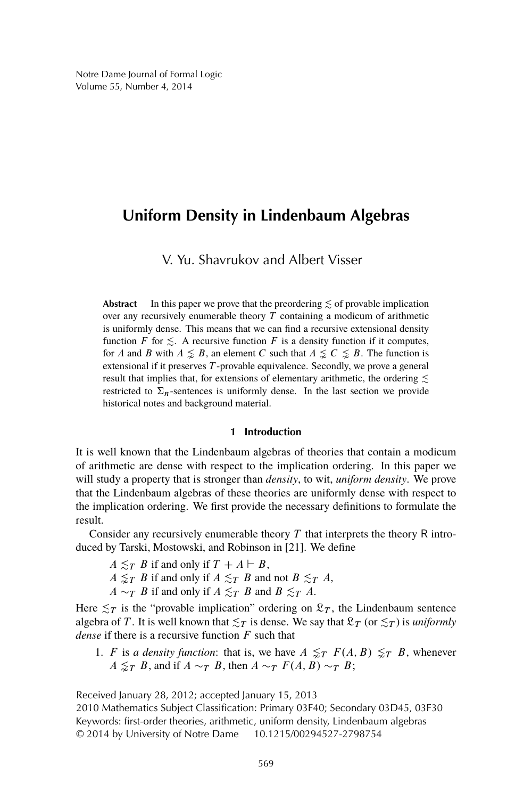# **Uniform Density in Lindenbaum Algebras**

V. Yu. Shavrukov and Albert Visser

**Abstract** In this paper we prove that the preordering  $\leq$  of provable implication over any recursively enumerable theory  $T$  containing a modicum of arithmetic is uniformly dense. This means that we can find a recursive extensional density function F for  $\leq$ . A recursive function F is a density function if it computes, for A and B with  $A \leq B$ , an element C such that  $A \leq C \leq B$ . The function is extensional if it preserves T-provable equivalence. Secondly, we prove a general result that implies that, for extensions of elementary arithmetic, the ordering  $\lesssim$ restricted to  $\Sigma_n$ -sentences is uniformly dense. In the last section we provide historical notes and background material.

# **1 Introduction**

It is well known that the Lindenbaum algebras of theories that contain a modicum of arithmetic are dense with respect to the implication ordering. In this paper we will study a property that is stronger than *density*, to wit, *uniform density*. We prove that the Lindenbaum algebras of these theories are uniformly dense with respect to the implication ordering. We first provide the necessary definitions to formulate the result.

Consider any recursively enumerable theory  $T$  that interprets the theory  $R$  introduced by Tarski, Mostowski, and Robinson in [21]. We define

- $A \leq_T B$  if and only if  $T + A \vdash B$ ,
- $A \leq_T B$  if and only if  $A \leq_T B$  and not  $B \leq_T A$ ,
- $A \sim_T B$  if and only if  $A \lesssim_T B$  and  $B \lesssim_T A$ .

Here  $\leq_T$  is the "provable implication" ordering on  $\mathfrak{L}_T$ , the Lindenbaum sentence algebra of T. It is well known that  $\leq_T$  is dense. We say that  $\mathfrak{L}_T$  (or  $\leq_T$ ) is *uniformly dense* if there is a recursive function F such that

1. F is *a density function*: that is, we have  $A \leq_T F(A, B) \leq_T B$ , whenever  $A \leq_T B$ , and if  $A \sim_T B$ , then  $A \sim_T F(A, B) \sim_T B$ ;

Received January 28, 2012; accepted January 15, 2013

2010 Mathematics Subject Classification: Primary 03F40; Secondary 03D45, 03F30 Keywords: first-order theories, arithmetic, uniform density, Lindenbaum algebras © 2014 by University of Notre Dame 10.1215/00294527-2798754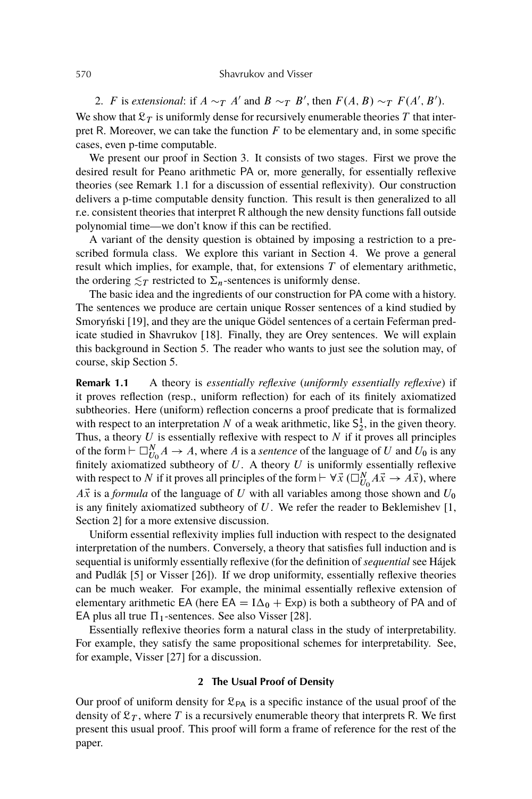#### 570 Shavrukov and Visser

2. *F* is *extensional*: if  $A \sim_T A'$  and  $B \sim_T B'$ , then  $F(A, B) \sim_T F(A', B')$ . We show that  $\mathcal{L}_T$  is uniformly dense for recursively enumerable theories T that interpret R. Moreover, we can take the function  $F$  to be elementary and, in some specific cases, even p-time computable.

We present our proof in Section 3. It consists of two stages. First we prove the desired result for Peano arithmetic PA or, more generally, for essentially reflexive theories (see Remark 1.1 for a discussion of essential reflexivity). Our construction delivers a p-time computable density function. This result is then generalized to all r.e. consistent theories that interpret R although the new density functions fall outside polynomial time—we don't know if this can be rectified.

A variant of the density question is obtained by imposing a restriction to a prescribed formula class. We explore this variant in Section 4. We prove a general result which implies, for example, that, for extensions  $T$  of elementary arithmetic, the ordering  $\lesssim_T$  restricted to  $\Sigma_n$ -sentences is uniformly dense.

The basic idea and the ingredients of our construction for PA come with a history. The sentences we produce are certain unique Rosser sentences of a kind studied by Smoryński [19], and they are the unique Gödel sentences of a certain Feferman predicate studied in Shavrukov [18]. Finally, they are Orey sentences. We will explain this background in Section 5. The reader who wants to just see the solution may, of course, skip Section 5.

**Remark 1.1** A theory is *essentially reflexive* (*uniformly essentially reflexive*) if it proves reflection (resp., uniform reflection) for each of its finitely axiomatized subtheories. Here (uniform) reflection concerns a proof predicate that is formalized with respect to an interpretation N of a weak arithmetic, like  $S_2^1$ , in the given theory. Thus, a theory  $U$  is essentially reflexive with respect to  $N$  if it proves all principles of the form  $\vdash \Box_{U_0}^N A \to A$ , where A is a *sentence* of the language of U and U<sub>0</sub> is any finitely axiomatized subtheory of  $U$ . A theory  $U$  is uniformly essentially reflexive with respect to N if it proves all principles of the form  $\vdash \forall \vec{x}$  ( $\square_{U_0}^N A\vec{x} \rightarrow A\vec{x}$ ), where  $A\vec{x}$  is a *formula* of the language of U with all variables among those shown and  $U_0$ is any finitely axiomatized subtheory of  $U$ . We refer the reader to Beklemishev [1, Section 2] for a more extensive discussion.

Uniform essential reflexivity implies full induction with respect to the designated interpretation of the numbers. Conversely, a theory that satisfies full induction and is sequential is uniformly essentially reflexive (for the definition of *sequential* see Hájek and Pudlák [5] or Visser [26]). If we drop uniformity, essentially reflexive theories can be much weaker. For example, the minimal essentially reflexive extension of elementary arithmetic EA (here  $EA = I\Delta_0 + Exp$ ) is both a subtheory of PA and of EA plus all true  $\Pi_1$ -sentences. See also Visser [28].

Essentially reflexive theories form a natural class in the study of interpretability. For example, they satisfy the same propositional schemes for interpretability. See, for example, Visser [27] for a discussion.

## **2 The Usual Proof of Density**

Our proof of uniform density for  $\mathfrak{L}_{PA}$  is a specific instance of the usual proof of the density of  $\mathfrak{L}_T$ , where T is a recursively enumerable theory that interprets R. We first present this usual proof. This proof will form a frame of reference for the rest of the paper.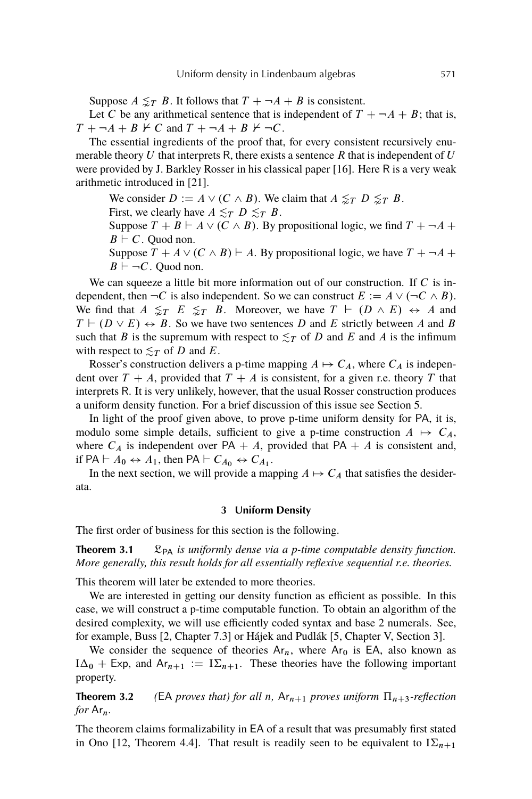Suppose  $A \leq T B$ . It follows that  $T + \neg A + B$  is consistent.

Let C be any arithmetical sentence that is independent of  $T + \neg A + B$ ; that is,  $T + \neg A + B \nvdash C$  and  $T + \neg A + B \nvdash \neg C$ .

The essential ingredients of the proof that, for every consistent recursively enumerable theory U that interprets R, there exists a sentence R that is independent of U were provided by J. Barkley Rosser in his classical paper [16]. Here R is a very weak arithmetic introduced in [21].

We consider  $D := A \vee (C \wedge B)$ . We claim that  $A \leq T D \leq T B$ .

First, we clearly have  $A \lesssim_T D \lesssim_T B$ .

Suppose  $T + B \vdash A \vee (C \wedge B)$ . By propositional logic, we find  $T + \neg A +$  $B \vdash C$ . Quod non.

Suppose  $T + A \vee (C \wedge B) \vdash A$ . By propositional logic, we have  $T + \neg A +$  $B \vdash \neg C$ . Quod non.

We can squeeze a little bit more information out of our construction. If  $C$  is independent, then  $\neg C$  is also independent. So we can construct  $E := A \vee (\neg C \wedge B)$ . We find that  $A \leq T E \leq T B$ . Moreover, we have  $T \vdash (D \wedge E) \leftrightarrow A$  and  $T \vdash (D \lor E) \leftrightarrow B$ . So we have two sentences D and E strictly between A and B such that B is the supremum with respect to  $\leq_T$  of D and E and A is the infimum with respect to  $\leq_T$  of D and E.

Rosser's construction delivers a p-time mapping  $A \mapsto C_A$ , where  $C_A$  is independent over  $T + A$ , provided that  $T + A$  is consistent, for a given r.e. theory T that interprets R. It is very unlikely, however, that the usual Rosser construction produces a uniform density function. For a brief discussion of this issue see Section 5.

In light of the proof given above, to prove p-time uniform density for PA, it is, modulo some simple details, sufficient to give a p-time construction  $A \mapsto C_A$ , where  $C_A$  is independent over PA + A, provided that PA + A is consistent and, if PA  $\vdash A_0 \leftrightarrow A_1$ , then PA  $\vdash C_{A_0} \leftrightarrow C_{A_1}$ .

In the next section, we will provide a mapping  $A \mapsto C_A$  that satisfies the desiderata.

## **3 Uniform Density**

The first order of business for this section is the following.

**Theorem 3.1**  $\mathcal{L}_{PA}$  *is uniformly dense via a p-time computable density function. More generally, this result holds for all essentially reflexive sequential r.e. theories.*

This theorem will later be extended to more theories.

We are interested in getting our density function as efficient as possible. In this case, we will construct a p-time computable function. To obtain an algorithm of the desired complexity, we will use efficiently coded syntax and base 2 numerals. See, for example, Buss [2, Chapter 7.3] or Hájek and Pudlák [5, Chapter V, Section 3].

We consider the sequence of theories  $Ar_n$ , where  $Ar_0$  is EA, also known as  $I\Delta_0$  + Exp, and Ar<sub>n+1</sub> :=  $I\Sigma_{n+1}$ . These theories have the following important property.

**Theorem 3.2** *(EA proves that) for all n,*  $Ar_{n+1}$  *proves uniform*  $\Pi_{n+3}$ -reflection *for* Arn*.*

The theorem claims formalizability in EA of a result that was presumably first stated in Ono [12, Theorem 4.4]. That result is readily seen to be equivalent to  $I\Sigma_{n+1}$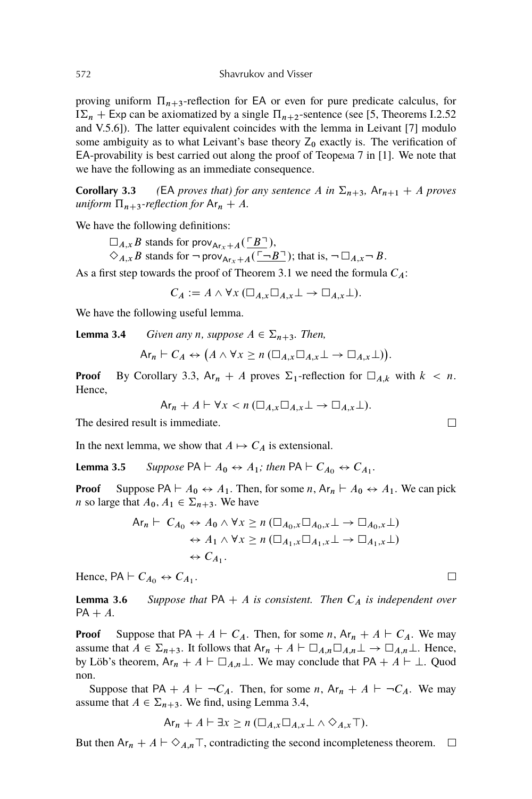proving uniform  $\Pi_{n+3}$ -reflection for EA or even for pure predicate calculus, for  $I\Sigma_n$  + Exp can be axiomatized by a single  $\Pi_{n+2}$ -sentence (see [5, Theorems I.2.52 and V.5.6]). The latter equivalent coincides with the lemma in Leivant [7] modulo some ambiguity as to what Leivant's base theory  $Z_0$  exactly is. The verification of  $EA$ -provability is best carried out along the proof of Teopema 7 in [1]. We note that we have the following as an immediate consequence.

**Corollary 3.3** (EA *proves that) for any sentence* A *in*  $\Sigma_{n+3}$ ,  $\mathsf{Ar}_{n+1} + A$  *proves uniform*  $\Pi_{n+3}$ -reflection for  $Ar_n + A$ .

We have the following definitions:

 $\square_{A,x}$  B stands for prov<sub>Arx+A</sub>( $\overline{B}$ ),  $\Diamond_{A,x} B$  stands for  $\neg$  prov<sub>Arx+A</sub>( $\Box B$ ); that is,  $\neg$   $\Box_{A,x} \neg B$ .

As a first step towards the proof of Theorem 3.1 we need the formula  $C_A$ :

 $C_A := A \wedge \forall x (\Box_{A,x} \Box_{A,x} \bot \rightarrow \Box_{A,x} \bot).$ 

We have the following useful lemma.

**Lemma 3.4** *Given any n, suppose*  $A \in \Sigma_{n+3}$ *. Then,* 

$$
\mathsf{Ar}_n \vdash C_A \leftrightarrow (A \wedge \forall x \ge n \left( \Box_{A,x} \Box_{A,x} \bot \rightarrow \Box_{A,x} \bot \right)).
$$

**Proof** By Corollary 3.3,  $Ar_n + A$  proves  $\Sigma_1$ -reflection for  $\square_{A,k}$  with  $k < n$ . Hence,

$$
\text{Ar}_n + A \vdash \forall x < n \left( \Box_{A,x} \Box_{A,x} \bot \rightarrow \Box_{A,x} \bot \right).
$$

The desired result is immediate.

In the next lemma, we show that  $A \mapsto C_A$  is extensional.

**Lemma 3.5** Suppose  $PA \vdash A_0 \leftrightarrow A_1$ ; then  $PA \vdash C_{A_0} \leftrightarrow C_{A_1}$ .

**Proof** Suppose PA  $\vdash A_0 \leftrightarrow A_1$ . Then, for some n,  $Ar_n \vdash A_0 \leftrightarrow A_1$ . We can pick *n* so large that  $A_0, A_1 \in \Sigma_{n+3}$ . We have

$$
\begin{aligned} \mathsf{Ar}_n \vdash \ C_{A_0} &\leftrightarrow A_0 \land \forall x \ge n \ (\Box_{A_0,x} \Box_{A_0,x} \bot \to \Box_{A_0,x} \bot) \\ &\leftrightarrow A_1 \land \forall x \ge n \ (\Box_{A_1,x} \Box_{A_1,x} \bot \to \Box_{A_1,x} \bot) \\ &\leftrightarrow C_{A_1}. \end{aligned}
$$

Hence,  $PA \vdash C_{A_0} \leftrightarrow C_{A_1}$ .

**Lemma 3.6** *Suppose that*  $PA + A$  *is consistent. Then*  $C_A$  *is independent over*  $PA + A$ .

**Proof** Suppose that  $PA + A \vdash C_A$ . Then, for some *n*,  $Ar_n + A \vdash C_A$ . We may assume that  $A \in \Sigma_{n+3}$ . It follows that  $Ar_n + A \vdash \square_{A,n} \square_{A,n} \bot \rightarrow \square_{A,n} \bot$ . Hence, by Löb's theorem,  $Ar_n + A \vdash \Box_{A,n} \bot$ . We may conclude that PA + A  $\vdash \bot$ . Quod non.

Suppose that PA +  $A \vdash \neg C_A$ . Then, for some  $n$ ,  $Ar_n + A \vdash \neg C_A$ . We may assume that  $A \in \Sigma_{n+3}$ . We find, using Lemma 3.4,

 $Ar_n + A \vdash \exists x \geq n \left( \Box_{A,x} \Box_{A,x} \bot \land \Diamond_{A,x} \top \right).$ 

But then  $Ar_n + A \vdash \Diamond_{A,n} \top$ , contradicting the second incompleteness theorem.  $\Box$ 

 $\Box$ 

 $\Box$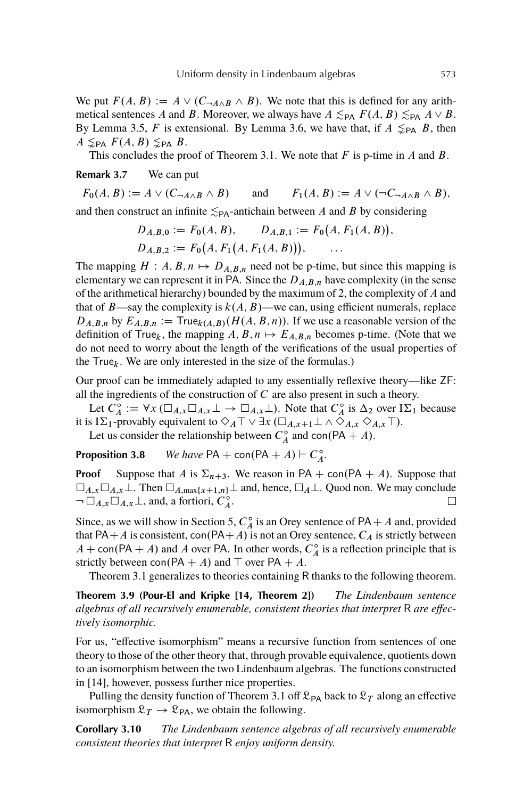We put  $F(A, B) := A \vee (C_{\neg A \wedge B} \wedge B)$ . We note that this is defined for any arithmetical sentences A and B. Moreover, we always have  $A \lesssim_{\text{PA}} F(A, B) \lesssim_{\text{PA}} A \vee B$ . By Lemma 3.5, F is extensional. By Lemma 3.6, we have that, if  $A \leq_{PA} B$ , then  $A \leq_{\text{PA}} F(A, B) \leq_{\text{PA}} B.$ 

This concludes the proof of Theorem 3.1. We note that  $F$  is p-time in  $A$  and  $B$ .

**Remark 3.7** We can put

 $F_0(A, B) := A \vee (C_{\neg A \wedge B} \wedge B)$  and  $F_1(A, B) := A \vee (\neg C_{\neg A \wedge B} \wedge B)$ .

and then construct an infinite  $\leq_{PA}$ -antichain between A and B by considering

$$
D_{A,B,0} := F_0(A, B), \qquad D_{A,B,1} := F_0(A, F_1(A, B)),
$$
  
\n
$$
D_{A,B,2} := F_0(A, F_1(A, F_1(A, B))), \qquad \dots
$$

The mapping  $H : A, B, n \mapsto D_{A,B,n}$  need not be p-time, but since this mapping is elementary we can represent it in PA. Since the  $D_{A,B,n}$  have complexity (in the sense of the arithmetical hierarchy) bounded by the maximum of 2, the complexity of A and that of B—say the complexity is  $k(A, B)$ —we can, using efficient numerals, replace  $D_{A,B,n}$  by  $E_{A,B,n} := \text{True}_{k(A,B)}(H(A,B,n)).$  If we use a reasonable version of the definition of True<sub>k</sub>, the mapping  $A, B, n \mapsto E_{A,B,n}$  becomes p-time. (Note that we do not need to worry about the length of the verifications of the usual properties of the  $True<sub>k</sub>$ . We are only interested in the size of the formulas.)

Our proof can be immediately adapted to any essentially reflexive theory—like ZF: all the ingredients of the construction of  $C$  are also present in such a theory.

Let  $\tilde{C}_A$  $A_A^{\circ} := \forall x (\Box_{A,x} \Box_{A,x} \bot \rightarrow \Box_{A,x} \bot)$ . Note that  $C_A^{\circ}$  $A^{\circ}$  is  $\Delta_2$  over  $I\Sigma_1$  because it is I $\Sigma_1$ -provably equivalent to  $\diamondsuit_A\top \vee \exists x \left(\square_{A,x+1}\bot \wedge \diamondsuit_{A,x}\diamondsuit_{A,x}\top\right).$ 

Let us consider the relationship between  $C_4^{\circ}$  $A^{\circ}$  and con(PA + A).

**Proposition 3.8** *We have*  $PA$  + con( $PA$  + A) +  $C_A^{\circ}$ A *.*

**Proof** Suppose that A is  $\Sigma_{n+3}$ . We reason in PA + con.(PA + A). Suppose that  $\Box_{A,x}\Box_{A,x}\bot$ . Then  $\Box_{A,\max\{x+1,n\}}\bot$  and, hence,  $\Box_A\bot$ . Quod non. We may conclude  $\neg \Box_{A,x} \Box_{A,x} \bot$ , and, a fortiori,  $C_A^{\circ}$  $\overset{\circ}{A}$  .  $\Box$ 

Since, as we will show in Section 5,  $C_A^{\circ}$  $A \cap A$  is an Orey sentence of PA + A and, provided that PA $+A$  is consistent, con(PA $+A$ ) is not an Orey sentence,  $C_A$  is strictly between  $A + \text{con}(PA + A)$  and A over PA. In other words,  $C_A^{\circ}$  $\int_A^{\infty}$  is a reflection principle that is strictly between con(PA + A) and  $\top$  over PA + A.

Theorem 3.1 generalizes to theories containing R thanks to the following theorem.

**Theorem 3.9 (Pour-El and Kripke [14, Theorem 2])** *The Lindenbaum sentence algebras of all recursively enumerable, consistent theories that interpret* R *are effectively isomorphic.*

For us, "effective isomorphism" means a recursive function from sentences of one theory to those of the other theory that, through provable equivalence, quotients down to an isomorphism between the two Lindenbaum algebras. The functions constructed in [14], however, possess further nice properties.

Pulling the density function of Theorem 3.1 off  $\mathcal{L}_{PA}$  back to  $\mathcal{L}_T$  along an effective isomorphism  $\mathcal{L}_T \to \mathcal{L}_{PA}$ , we obtain the following.

**Corollary 3.10** *The Lindenbaum sentence algebras of all recursively enumerable consistent theories that interpret* R *enjoy uniform density.*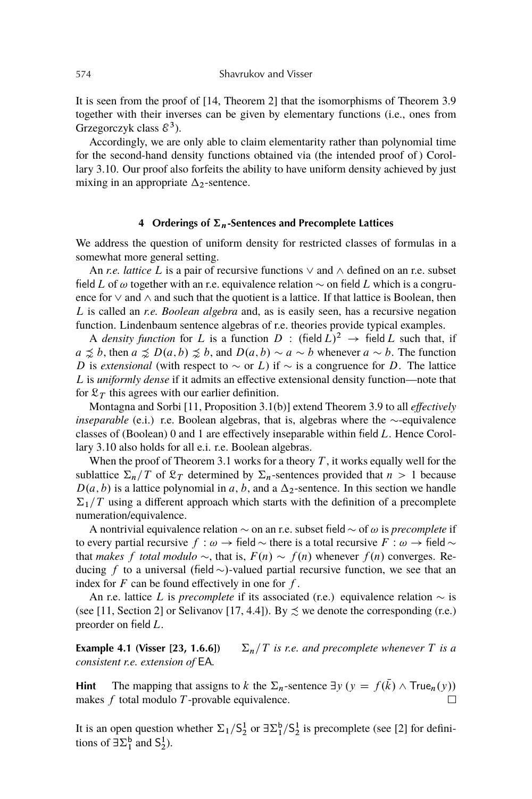It is seen from the proof of [14, Theorem 2] that the isomorphisms of Theorem 3.9 together with their inverses can be given by elementary functions (i.e., ones from Grzegorczyk class  $\mathcal{E}^3$ ).

Accordingly, we are only able to claim elementarity rather than polynomial time for the second-hand density functions obtained via (the intended proof of ) Corollary 3.10. Our proof also forfeits the ability to have uniform density achieved by just mixing in an appropriate  $\Delta_2$ -sentence.

# **4** Orderings of  $\Sigma_n$ -Sentences and Precomplete Lattices

We address the question of uniform density for restricted classes of formulas in a somewhat more general setting.

An *r.e. lattice* L is a pair of recursive functions  $\vee$  and  $\wedge$  defined on an r.e. subset field L of  $\omega$  together with an r.e. equivalence relation  $\sim$  on field L which is a congruence for  $\vee$  and  $\wedge$  and such that the quotient is a lattice. If that lattice is Boolean, then L is called an *r.e. Boolean algebra* and, as is easily seen, has a recursive negation function. Lindenbaum sentence algebras of r.e. theories provide typical examples.

A *density function* for L is a function  $D$  : (field  $L$ )<sup>2</sup>  $\rightarrow$  field L such that, if  $a \precsim b$ , then  $a \precsim D(a,b) \precsim b$ , and  $D(a,b) \sim a \sim b$  whenever  $a \sim b$ . The function D is *extensional* (with respect to  $\sim$  or L) if  $\sim$  is a congruence for D. The lattice L is *uniformly dense* if it admits an effective extensional density function—note that for  $\mathfrak{L}_T$  this agrees with our earlier definition.

Montagna and Sorbi [11, Proposition 3.1(b)] extend Theorem 3.9 to all *effectively inseparable* (e.i.) r.e. Boolean algebras, that is, algebras where the  $\sim$ -equivalence classes of (Boolean) 0 and 1 are effectively inseparable within field L. Hence Corollary 3.10 also holds for all e.i. r.e. Boolean algebras.

When the proof of Theorem 3.1 works for a theory  $T$ , it works equally well for the sublattice  $\Sigma_n/T$  of  $\mathcal{L}_T$  determined by  $\Sigma_n$ -sentences provided that  $n > 1$  because  $D(a, b)$  is a lattice polynomial in a, b, and a  $\Delta_2$ -sentence. In this section we handle  $\Sigma_1/T$  using a different approach which starts with the definition of a precomplete numeration/equivalence.

A nontrivial equivalence relation  $\sim$  on an r.e. subset field  $\sim$  of  $\omega$  is *precomplete* if to every partial recursive  $f : \omega \to \text{field} \sim$  there is a total recursive  $F : \omega \to \text{field} \sim$ that *makes* f *total modulo*  $\sim$ , that is,  $F(n) \sim f(n)$  whenever  $f(n)$  converges. Reducing f to a universal (field  $\sim$ )-valued partial recursive function, we see that an index for  $F$  can be found effectively in one for  $f$ .

An r.e. lattice L is *precomplete* if its associated (r.e.) equivalence relation  $\sim$  is (see [11, Section 2] or Selivanov [17, 4.4]). By  $\precsim$  we denote the corresponding (r.e.) preorder on field L.

**Example 4.1 (Visser [23, 1.6.6])**  $\sum_{n} T$  *is r.e. and precomplete whenever* T *is a consistent r.e. extension of* EA*.*

**Hint** The mapping that assigns to k the  $\Sigma_n$ -sentence  $\exists y \ (y = f(\bar{k}) \land \text{True}_n(y))$ makes  $f$  total modulo  $T$ -provable equivalence.  $\Box$ 

It is an open question whether  $\Sigma_1/S_2^1$  or  $\exists \Sigma_1^b/S_2^1$  is precomplete (see [2] for definitions of  $\exists \Sigma_1^b$  and  $S_2^1$ ).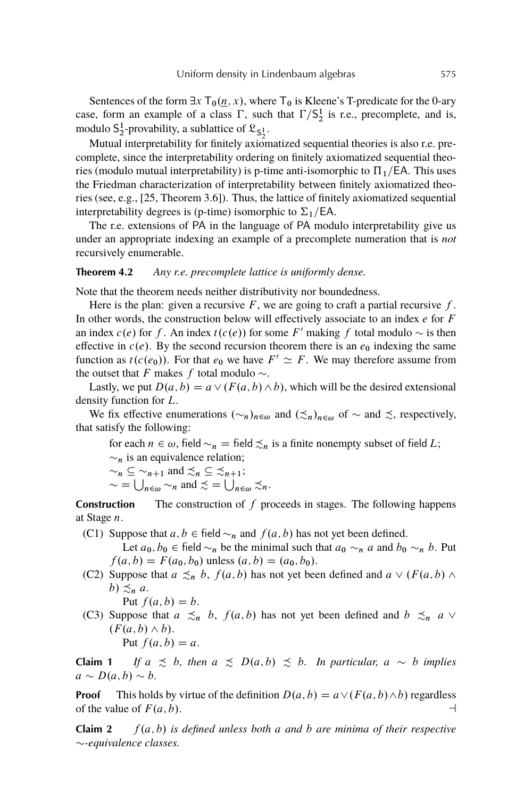Sentences of the form  $\exists x \, \mathsf{T}_0(\underline{n}, x)$ , where  $\mathsf{T}_0$  is Kleene's T-predicate for the 0-ary case, form an example of a class  $\Gamma$ , such that  $\Gamma/S_2^1$  is r.e., precomplete, and is, modulo  $S_2^1$ -provability, a sublattice of  $\mathfrak{L}_{S_2^1}$ .

Mutual interpretability for finitely axiomatized sequential theories is also r.e. precomplete, since the interpretability ordering on finitely axiomatized sequential theories (modulo mutual interpretability) is p-time anti-isomorphic to  $\Pi_1/EA$ . This uses the Friedman characterization of interpretability between finitely axiomatized theories (see, e.g., [25, Theorem 3.6]). Thus, the lattice of finitely axiomatized sequential interpretability degrees is (p-time) isomorphic to  $\Sigma_1$ /EA.

The r.e. extensions of PA in the language of PA modulo interpretability give us under an appropriate indexing an example of a precomplete numeration that is *not* recursively enumerable.

# **Theorem 4.2** *Any r.e. precomplete lattice is uniformly dense.*

Note that the theorem needs neither distributivity nor boundedness.

Here is the plan: given a recursive  $F$ , we are going to craft a partial recursive  $f$ . In other words, the construction below will effectively associate to an index  $e$  for  $F$ an index  $c(e)$  for f. An index  $t(c(e))$  for some F' making f total modulo  $\sim$  is then effective in  $c(e)$ . By the second recursion theorem there is an  $e_0$  indexing the same function as  $t(c(e_0))$ . For that  $e_0$  we have  $F' \simeq F$ . We may therefore assume from the outset that F makes f total modulo  $\sim$ .

Lastly, we put  $D(a, b) = a \vee (F(a, b) \wedge b)$ , which will be the desired extensional density function for L.

We fix effective enumerations  $(\sim_n)_{n\in\omega}$  and  $(\precsim_n)_{n\in\omega}$  of  $\sim$  and  $\precsim$ , respectively, that satisfy the following:

for each  $n \in \omega$ , field  $\sim_n$  = field  $\precsim_n$  is a finite nonempty subset of field L;  $\sim_n$  is an equivalence relation;  $nd \prec \neg \subset \prec$ 

$$
\sim_n \subseteq \sim_{n+1}
$$
 and  $\gtrsim_n \subseteq \gtrsim_{n+1}$ ;

 $\sim$  =  $\bigcup_{n \in \omega} \sim_n$  and  $\precsim$  =  $\bigcup_{n \in \omega} \precsim_n$ .

**Construction** The construction of f proceeds in stages. The following happens at Stage n.

(C1) Suppose that  $a, b \in \text{field } \sim_n$  and  $f(a, b)$  has not yet been defined.

Let  $a_0, b_0 \in \text{field } \sim_n$  be the minimal such that  $a_0 \sim_n a$  and  $b_0 \sim_n b$ . Put  $f(a, b) = F(a_0, b_0)$  unless  $(a, b) = (a_0, b_0)$ .

- (C2) Suppose that  $a \preceq_n b$ ,  $f(a, b)$  has not yet been defined and  $a \vee (F(a, b) \wedge F(a, b))$ b)  $\preceq_n a$ .
	- Put  $f(a, b) = b$ .
- (C3) Suppose that  $a \precsim_n b$ ,  $f(a, b)$  has not yet been defined and  $b \precsim_n a \vee$  $(F(a, b) \wedge b)$ . Put  $f(a, b) = a$ .

**Claim 1** *If*  $a \preceq b$ , then  $a \preceq D(a, b) \preceq b$ . In particular,  $a \sim b$  implies  $a \sim D(a, b) \sim b$ .

**Proof** This holds by virtue of the definition  $D(a, b) = a \vee (F(a, b) \wedge b)$  regardless of the value of  $F(a, b)$ .

**Claim 2**  $f(a, b)$  *is defined unless both* a *and* b *are minima of their respective -equivalence classes.*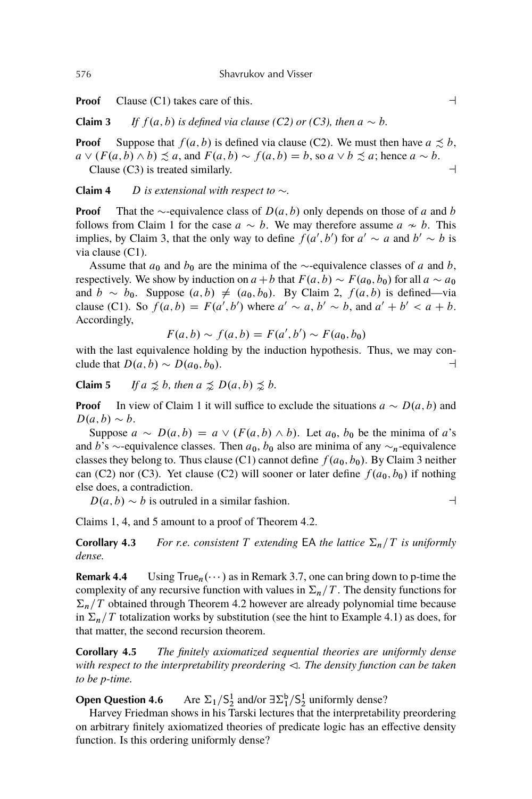**Proof** Clause (C1) takes care of this.  $\Box$ 

**Claim 3** *If*  $f(a, b)$  *is defined via clause (C2) or (C3), then*  $a \sim b$ *.* 

**Proof** Suppose that  $f(a, b)$  is defined via clause (C2). We must then have  $a \precsim b$ ,  $a \vee (F(a, b) \wedge b) \preceq a$ , and  $F(a, b) \sim f(a, b) = b$ , so  $a \vee b \preceq a$ ; hence  $a \sim b$ . Clause (C3) is treated similarly.  $\Box$ 

**Claim 4** D *is extensional with respect to*  $\sim$ .

**Proof** That the  $\sim$ -equivalence class of  $D(a, b)$  only depends on those of a and b follows from Claim 1 for the case  $a \sim b$ . We may therefore assume  $a \sim b$ . This implies, by Claim 3, that the only way to define  $f(a', b')$  for  $a' \sim a$  and  $b' \sim b$  is via clause (C1).

Assume that  $a_0$  and  $b_0$  are the minima of the  $\sim$ -equivalence classes of a and b, respectively. We show by induction on  $a+b$  that  $F(a, b) \sim F(a_0, b_0)$  for all  $a \sim a_0$ and  $b \sim b_0$ . Suppose  $(a, b) \neq (a_0, b_0)$ . By Claim 2,  $f(a, b)$  is defined—via clause (C1). So  $f(a, b) = F(a', b')$  where  $a' \sim a, b' \sim b$ , and  $a' + b' < a + b$ . Accordingly,

$$
F(a, b) \sim f(a, b) = F(a', b') \sim F(a_0, b_0)
$$

with the last equivalence holding by the induction hypothesis. Thus, we may conclude that  $D(a, b) \sim D(a_0, b_0)$ .

**Claim 5** *If*  $a \leq b$ *, then*  $a \leq D(a, b) \leq b$ *.* 

**Proof** In view of Claim 1 it will suffice to exclude the situations  $a \sim D(a, b)$  and  $D(a, b) \sim b$ .

Suppose  $a \sim D(a, b) = a \vee (F(a, b) \wedge b)$ . Let  $a_0$ ,  $b_0$  be the minima of a's and b's  $\sim$ -equivalence classes. Then  $a_0$ ,  $b_0$  also are minima of any  $\sim$ <sub>n</sub>-equivalence classes they belong to. Thus clause (C1) cannot define  $f(a_0, b_0)$ . By Claim 3 neither can (C2) nor (C3). Yet clause (C2) will sooner or later define  $f(a_0, b_0)$  if nothing else does, a contradiction.

 $D(a, b) \sim b$  is outruled in a similar fashion.

$$
\dashv
$$

Claims 1, 4, and 5 amount to a proof of Theorem 4.2.

**Corollary 4.3** *For r.e. consistent* T *extending* EA *the lattice*  $\Sigma_n/T$  *is uniformly dense.*

**Remark 4.4** Using  $True_n(\dots)$  as in Remark 3.7, one can bring down to p-time the complexity of any recursive function with values in  $\Sigma_n/T$ . The density functions for  $\Sigma_n/T$  obtained through Theorem 4.2 however are already polynomial time because in  $\Sigma_n/T$  totalization works by substitution (see the hint to Example 4.1) as does, for that matter, the second recursion theorem.

**Corollary 4.5** *The finitely axiomatized sequential theories are uniformly dense with respect to the interpretability preordering*  $\triangleleft$ *. The density function can be taken to be p-time.*

**Open Question 4.6**  $\frac{1}{2}$  and/or  $\exists \Sigma_1^b / \Sigma_2^1$  uniformly dense?

Harvey Friedman shows in his Tarski lectures that the interpretability preordering on arbitrary finitely axiomatized theories of predicate logic has an effective density function. Is this ordering uniformly dense?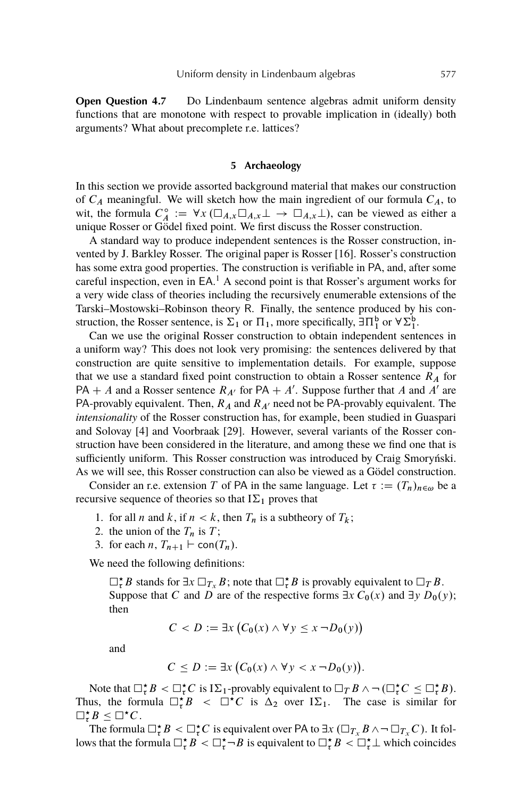**Open Question 4.7** Do Lindenbaum sentence algebras admit uniform density functions that are monotone with respect to provable implication in (ideally) both arguments? What about precomplete r.e. lattices?

# **5 Archaeology**

In this section we provide assorted background material that makes our construction of  $C_A$  meaningful. We will sketch how the main ingredient of our formula  $C_A$ , to wit, the formula  $C_A^{\circ}$  $A^{\circ}$  :=  $\forall x (\Box_{A,x} \Box_{A,x} \bot \rightarrow \Box_{A,x} \bot)$ , can be viewed as either a unique Rosser or Gödel fixed point. We first discuss the Rosser construction.

A standard way to produce independent sentences is the Rosser construction, invented by J. Barkley Rosser. The original paper is Rosser [16]. Rosser's construction has some extra good properties. The construction is verifiable in PA, and, after some careful inspection, even in EA.<sup>1</sup> A second point is that Rosser's argument works for a very wide class of theories including the recursively enumerable extensions of the Tarski–Mostowski–Robinson theory R. Finally, the sentence produced by his construction, the Rosser sentence, is  $\Sigma_1$  or  $\Pi_1$ , more specifically,  $\exists \Pi_1^b$  or  $\forall \Sigma_1^b$ .

Can we use the original Rosser construction to obtain independent sentences in a uniform way? This does not look very promising: the sentences delivered by that construction are quite sensitive to implementation details. For example, suppose that we use a standard fixed point construction to obtain a Rosser sentence  $R_A$  for PA + A and a Rosser sentence  $R_{A'}$  for PA + A'. Suppose further that A and A' are PA-provably equivalent. Then,  $R_A$  and  $R_{A'}$  need not be PA-provably equivalent. The *intensionality* of the Rosser construction has, for example, been studied in Guaspari and Solovay [4] and Voorbraak [29]. However, several variants of the Rosser construction have been considered in the literature, and among these we find one that is sufficiently uniform. This Rosser construction was introduced by Craig Smoryński. As we will see, this Rosser construction can also be viewed as a Gödel construction.

Consider an r.e. extension T of PA in the same language. Let  $\tau := (T_n)_{n \in \omega}$  be a recursive sequence of theories so that  $I\Sigma_1$  proves that

- 1. for all *n* and *k*, if  $n < k$ , then  $T_n$  is a subtheory of  $T_k$ ;
- 2. the union of the  $T_n$  is  $T$ ;
- 3. for each *n*,  $T_{n+1} \vdash \text{con}(T_n)$ .

We need the following definitions:

 $\Box_{\tau}^{\star}B$  stands for  $\exists x \Box_{T_x} B$ ; note that  $\Box_{\tau}^{\star}B$  is provably equivalent to  $\Box_T B$ . Suppose that C and D are of the respective forms  $\exists x C_0(x)$  and  $\exists y D_0(y)$ ; then

$$
C < D := \exists x \left( C_0(x) \land \forall y \leq x \, \neg D_0(y) \right)
$$

and

$$
C \le D := \exists x \big( C_0(x) \wedge \forall y < x \neg D_0(y) \big).
$$

Note that  $\Box_{\tau}^{\star}B < \Box_{\tau}^{\star}C$  is  $I\Sigma_1$ -provably equivalent to  $\Box_T B \land \neg (\Box_{\tau}^{\star}C \leq \Box_{\tau}^{\star}B)$ . Thus, the formula  $\Box_{\tau}^{*}B \leq \Box^{*}C$  is  $\Delta_{2}$  over  $I\Sigma_{1}$ . The case is similar for  $\Box_{\tau}^{\star} B \leq \Box^{\star} C.$ 

The formula  $\Box_{\tau}^{\star}B < \Box_{\tau}^{\star}C$  is equivalent over PA to  $\exists x \ (\Box_{T_x} B \land \neg \Box_{T_x} C)$ . It follows that the formula  $\Box_{\tau}^{\star} B < \Box_{\tau}^{\star} \Box B$  is equivalent to  $\Box_{\tau}^{\star} B < \Box_{\tau}^{\star} \bot$  which coincides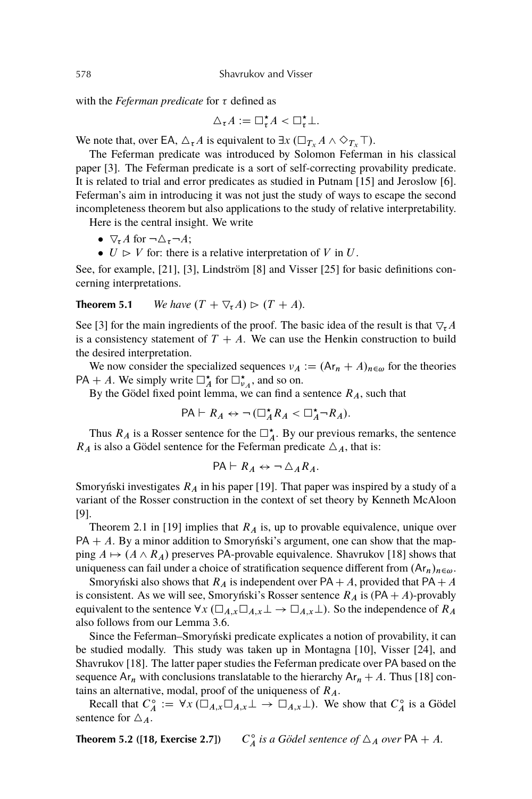with the *Feferman predicate* for  $\tau$  defined as

$$
\Delta_{\tau}A := \square_{\tau}^{\star}A < \square_{\tau}^{\star}\bot.
$$

We note that, over EA,  $\Delta_{\tau}A$  is equivalent to  $\exists x \, (\Box_{T_x} A \land \Diamond_{T_x} \top)$ .

The Feferman predicate was introduced by Solomon Feferman in his classical paper [3]. The Feferman predicate is a sort of self-correcting provability predicate. It is related to trial and error predicates as studied in Putnam [15] and Jeroslow [6]. Feferman's aim in introducing it was not just the study of ways to escape the second incompleteness theorem but also applications to the study of relative interpretability.

Here is the central insight. We write

- $\nabla_{\tau} A$  for  $\neg \triangle_{\tau} \neg A;$
- $\bullet$   $U \triangleright V$  for: there is a relative interpretation of V in U.

See, for example, [21], [3], Lindström [8] and Visser [25] for basic definitions concerning interpretations.

**Theorem 5.1** *We have*  $(T + \nabla_{\tau} A) \ge (T + A)$ *.* 

See [3] for the main ingredients of the proof. The basic idea of the result is that  $\nabla_{\tau}A$ is a consistency statement of  $T + A$ . We can use the Henkin construction to build the desired interpretation.

We now consider the specialized sequences  $\nu_A := (Ar_n + A)_{n \in \omega}$  for the theories PA + A. We simply write  $\Box_A^*$  for  $\Box_{\nu_A}^*$ , and so on.

By the Gödel fixed point lemma, we can find a sentence  $R_A$ , such that

$$
\mathsf{PA}\vdash R_A \leftrightarrow \neg\left(\square^\star_A R_A < \square^\star_A \neg R_A\right).
$$

Thus  $R_A$  is a Rosser sentence for the  $\Box_A^*$ . By our previous remarks, the sentence  $R_A$  is also a Gödel sentence for the Feferman predicate  $\Delta_A$ , that is:

$$
\mathsf{PA}\vdash R_A \leftrightarrow \neg \bigtriangleup_A R_A.
$$

Smoryński investigates  $R_A$  in his paper [19]. That paper was inspired by a study of a variant of the Rosser construction in the context of set theory by Kenneth McAloon [9].

Theorem 2.1 in [19] implies that  $R_A$  is, up to provable equivalence, unique over  $PA + A$ . By a minor addition to Smoryński's argument, one can show that the mapping  $A \mapsto (A \wedge R_A)$  preserves PA-provable equivalence. Shavrukov [18] shows that uniqueness can fail under a choice of stratification sequence different from  $(Ar_n)_{n\in\omega}$ .

Smoryński also shows that  $R_A$  is independent over PA + A, provided that PA + A is consistent. As we will see, Smoryński's Rosser sentence  $R_A$  is (PA + A)-provably equivalent to the sentence  $\forall x (\Box_{A,x} \Box_{A,x} \bot \rightarrow \Box_{A,x} \bot)$ . So the independence of  $R_A$ also follows from our Lemma 3.6.

Since the Feferman–Smoryński predicate explicates a notion of provability, it can be studied modally. This study was taken up in Montagna [10], Visser [24], and Shavrukov [18]. The latter paper studies the Feferman predicate over PA based on the sequence  $Ar_n$  with conclusions translatable to the hierarchy  $Ar_n + A$ . Thus [18] contains an alternative, modal, proof of the uniqueness of  $R_A$ .

Recall that  $C_A^{\circ}$  $A_A^{\circ} := \forall x (\Box_{A,x} \Box_{A,x} \bot \rightarrow \Box_{A,x} \bot)$ . We show that  $C_A^{\circ}$  $\int_A^{\circ}$  is a Gödel sentence for  $\Delta_A$ .

**Theorem 5.2 ([18, Exercise 2.7])**  $C_4^{\circ}$  $\int_A^{\infty}$  *is a Gödel sentence of*  $\Delta_A$  *over* PA + A.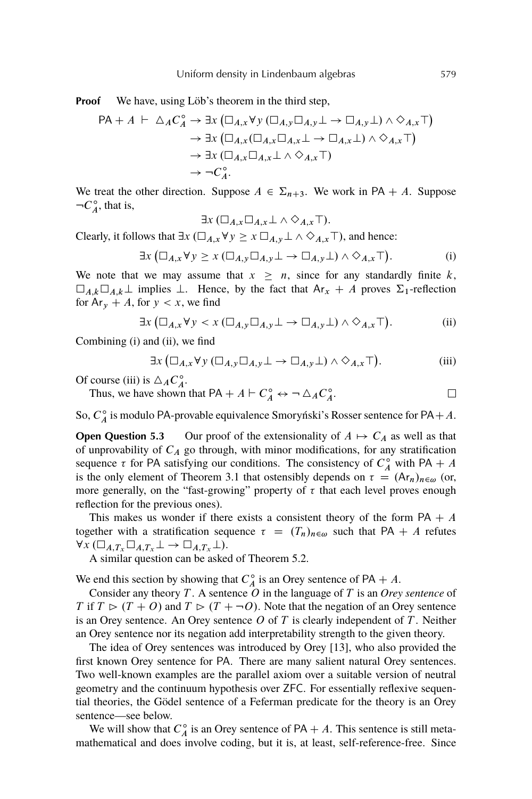**Proof** We have, using Löb's theorem in the third step,

$$
\begin{aligned} \mathsf{PA} + A \; \vdash \; \Delta_A C_A^\circ &\rightarrow \exists x \left( \Box_{A,x} \forall y \left( \Box_{A,y} \Box_{A,y} \bot \to \Box_{A,y} \bot \right) \land \Diamond_{A,x} \top \right) \\ &\rightarrow \exists x \left( \Box_{A,x} \left( \Box_{A,x} \Box_{A,x} \bot \to \Box_{A,x} \bot \right) \land \Diamond_{A,x} \top \right) \\ &\rightarrow \exists x \left( \Box_{A,x} \Box_{A,x} \bot \land \Diamond_{A,x} \top \right) \\ &\rightarrow \neg C_A^\circ. \end{aligned}
$$

We treat the other direction. Suppose  $A \in \Sigma_{n+3}$ . We work in PA + A. Suppose  $\neg C_A^{\circ}$  $A^{\circ}$ , that is,

$$
\exists x \, (\Box_{A,x} \Box_{A,x} \bot \land \Diamond_{A,x} \top).
$$

Clearly, it follows that  $\exists x \left( \Box_{A,x} \forall y \geq x \Box_{A,y} \bot \land \Diamond_{A,x} \top \right)$ , and hence:

$$
\exists x \left( \Box_{A,x} \forall y \ge x \left( \Box_{A,y} \Box_{A,y} \bot \to \Box_{A,y} \bot \right) \land \Diamond_{A,x} \top \right). \tag{i}
$$

We note that we may assume that  $x \geq n$ , since for any standardly finite k,  $\Box_{A,k}\Box_{A,k}\bot$  implies  $\bot$ . Hence, by the fact that  $Ar_x + A$  proves  $\Sigma_1$ -reflection for  $Ar_y + A$ , for  $y < x$ , we find

$$
\exists x \left( \Box_{A,x} \forall y < x \left( \Box_{A,y} \Box_{A,y} \bot \to \Box_{A,y} \bot \right) \land \Diamond_{A,x} \top \right). \tag{ii}
$$

Combining (i) and (ii), we find

$$
\exists x \left( \Box_{A,x} \forall y \left( \Box_{A,y} \Box_{A,y} \bot \rightarrow \Box_{A,y} \bot \right) \land \Diamond_{A,x} \top \right). \tag{iii}
$$

Of course (iii) is  $\triangle_A C_A^{\circ}$  $A^{\circ}$ 

Thus, we have shown that PA +  $A \vdash C_A^\circ \leftrightarrow \neg \triangle_A C_A^\circ$  $A^{\circ}$ 

So,  $C_4^{\circ}$  $\int_A^{\infty}$  is modulo PA-provable equivalence Smoryński's Rosser sentence for PA + A.

**Open Question 5.3** Our proof of the extensionality of  $A \mapsto C_A$  as well as that of unprovability of  $C_A$  go through, with minor modifications, for any stratification sequence  $\tau$  for PA satisfying our conditions. The consistency of  $C_A^{\circ}$  with PA + A is the only element of Theorem 3.1 that ostensibly depends on  $\tau = (Ar_n)_{n \in \omega}$  (or, more generally, on the "fast-growing" property of  $\tau$  that each level proves enough reflection for the previous ones).

This makes us wonder if there exists a consistent theory of the form  $PA + A$ together with a stratification sequence  $\tau = (T_n)_{n \in \omega}$  such that PA + A refutes  $\forall x (\Box_{A,T_x} \Box_{A,T_x} \bot \rightarrow \Box_{A,T_x} \bot).$ 

A similar question can be asked of Theorem 5.2.

We end this section by showing that  $C_A^{\circ}$  $A_A^{\circ}$  is an Orey sentence of PA + A.

Consider any theory T . A sentence O in the language of T is an *Orey sentence* of T if  $T \triangleright (T + O)$  and  $T \triangleright (T + \neg O)$ . Note that the negation of an Orey sentence is an Orey sentence. An Orey sentence  $O$  of  $T$  is clearly independent of  $T$ . Neither an Orey sentence nor its negation add interpretability strength to the given theory.

The idea of Orey sentences was introduced by Orey [13], who also provided the first known Orey sentence for PA. There are many salient natural Orey sentences. Two well-known examples are the parallel axiom over a suitable version of neutral geometry and the continuum hypothesis over ZFC. For essentially reflexive sequential theories, the Gödel sentence of a Feferman predicate for the theory is an Orey sentence—see below.

We will show that  $C_A^{\circ}$  $\int_A^{\infty}$  is an Orey sentence of PA + A. This sentence is still metamathematical and does involve coding, but it is, at least, self-reference-free. Since

 $\Box$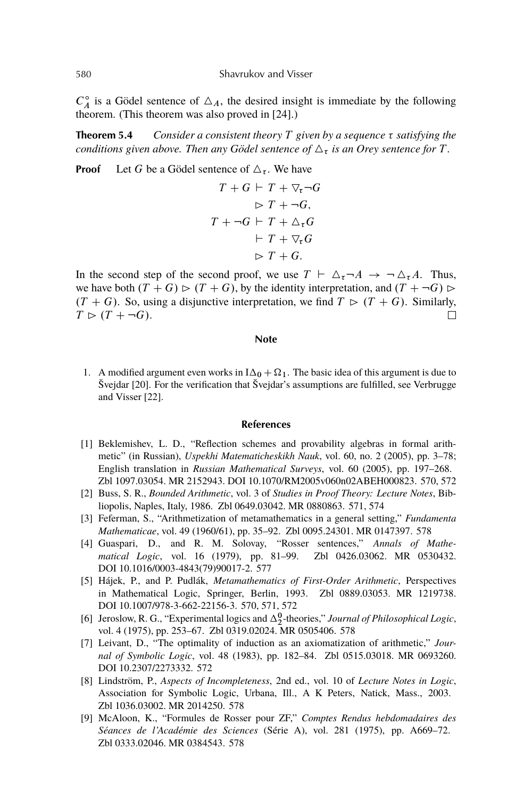$C_A^{\circ}$  $\int_A^{\infty}$  is a Gödel sentence of  $\Delta_A$ , the desired insight is immediate by the following theorem. (This theorem was also proved in [24].)

**Theorem 5.4** *Consider a consistent theory*  $T$  *given by a sequence*  $\tau$  *satisfying the conditions given above. Then any Gödel sentence of*  $\Delta_{\tau}$  *is an Orey sentence for* T.

**Proof** Let G be a Gödel sentence of  $\Delta_{\tau}$ . We have

$$
T + G \vdash T + \nabla_{\tau} \neg G
$$
  
\n
$$
\triangleright T + \neg G,
$$
  
\n
$$
T + \neg G \vdash T + \Delta_{\tau} G
$$
  
\n
$$
\vdash T + \nabla_{\tau} G
$$
  
\n
$$
\triangleright T + G.
$$

In the second step of the second proof, we use  $T \vdash \Delta_{\tau} \neg A \rightarrow \neg \Delta_{\tau} A$ . Thus, we have both  $(T + G) \triangleright (T + G)$ , by the identity interpretation, and  $(T + \neg G) \triangleright$  $(T + G)$ . So, using a disjunctive interpretation, we find  $T \triangleright (T + G)$ . Similarly,  $T \triangleright (T + \neg G).$  $\Box$ 

#### **Note**

1. A modified argument even works in  $I\Delta_0 + \Omega_1$ . The basic idea of this argument is due to Švejdar [20]. For the verification that Švejdar's assumptions are fulfilled, see Verbrugge and Visser [22].

#### **References**

- [1] Beklemishev, L. D., "Reflection schemes and provability algebras in formal arithmetic" (in Russian), *Uspekhi Matematicheskikh Nauk*, vol. 60, no. 2 (2005), pp. 3–78; English translation in *Russian Mathematical Surveys*, vol. 60 (2005), pp. 197–268. Zbl 1097.03054. MR 2152943. DOI 10.1070/RM2005v060n02ABEH000823. 570, 572
- [2] Buss, S. R., *Bounded Arithmetic*, vol. 3 of *Studies in Proof Theory: Lecture Notes*, Bibliopolis, Naples, Italy, 1986. Zbl 0649.03042. MR 0880863. 571, 574
- [3] Feferman, S., "Arithmetization of metamathematics in a general setting," *Fundamenta Mathematicae*, vol. 49 (1960/61), pp. 35–92. Zbl 0095.24301. MR 0147397. 578
- [4] Guaspari, D., and R. M. Solovay, "Rosser sentences," *Annals of Mathematical Logic*, vol. 16 (1979), pp. 81–99. Zbl 0426.03062. MR 0530432. DOI 10.1016/0003-4843(79)90017-2. 577
- [5] Hájek, P., and P. Pudlák, *Metamathematics of First-Order Arithmetic*, Perspectives in Mathematical Logic, Springer, Berlin, 1993. Zbl 0889.03053. MR 1219738. DOI 10.1007/978-3-662-22156-3. 570, 571, 572
- [6] Jeroslow, R. G., "Experimental logics and  $\Delta_2^0$ -theories," *Journal of Philosophical Logic*, vol. 4 (1975), pp. 253–67. Zbl 0319.02024. MR 0505406. 578
- [7] Leivant, D., "The optimality of induction as an axiomatization of arithmetic," *Journal of Symbolic Logic*, vol. 48 (1983), pp. 182–84. Zbl 0515.03018. MR 0693260. DOI 10.2307/2273332. 572
- [8] Lindström, P., *Aspects of Incompleteness*, 2nd ed., vol. 10 of *Lecture Notes in Logic*, Association for Symbolic Logic, Urbana, Ill., A K Peters, Natick, Mass., 2003. Zbl 1036.03002. MR 2014250. 578
- [9] McAloon, K., "Formules de Rosser pour ZF," *Comptes Rendus hebdomadaires des Séances de l'Académie des Sciences* (Série A), vol. 281 (1975), pp. A669–72. Zbl 0333.02046. MR 0384543. 578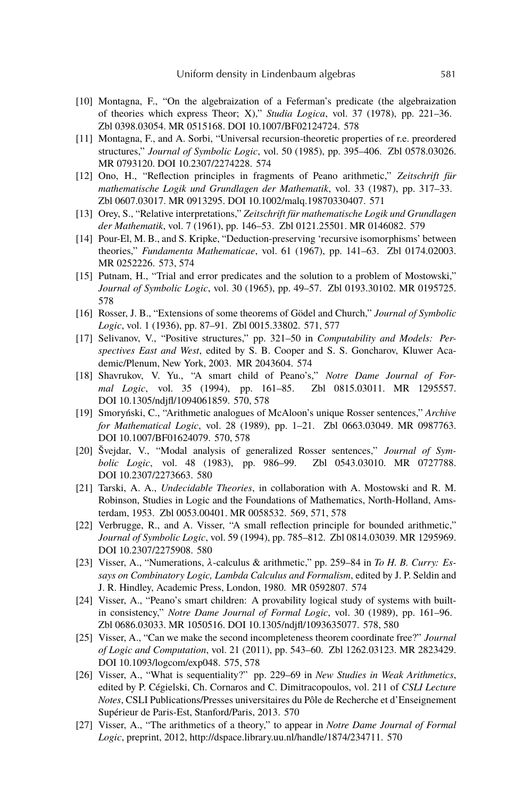- [10] Montagna, F., "On the algebraization of a Feferman's predicate (the algebraization of theories which express Theor; X)," *Studia Logica*, vol. 37 (1978), pp. 221–36. Zbl 0398.03054. MR 0515168. DOI 10.1007/BF02124724. 578
- [11] Montagna, F., and A. Sorbi, "Universal recursion-theoretic properties of r.e. preordered structures," *Journal of Symbolic Logic*, vol. 50 (1985), pp. 395–406. Zbl 0578.03026. MR 0793120. DOI 10.2307/2274228. 574
- [12] Ono, H., "Reflection principles in fragments of Peano arithmetic," *Zeitschrift für mathematische Logik und Grundlagen der Mathematik*, vol. 33 (1987), pp. 317–33. Zbl 0607.03017. MR 0913295. DOI 10.1002/malq.19870330407. 571
- [13] Orey, S., "Relative interpretations," *Zeitschrift für mathematische Logik und Grundlagen der Mathematik*, vol. 7 (1961), pp. 146–53. Zbl 0121.25501. MR 0146082. 579
- [14] Pour-El, M. B., and S. Kripke, "Deduction-preserving 'recursive isomorphisms' between theories," *Fundamenta Mathematicae*, vol. 61 (1967), pp. 141–63. Zbl 0174.02003. MR 0252226. 573, 574
- [15] Putnam, H., "Trial and error predicates and the solution to a problem of Mostowski," *Journal of Symbolic Logic*, vol. 30 (1965), pp. 49–57. Zbl 0193.30102. MR 0195725. 578
- [16] Rosser, J. B., "Extensions of some theorems of Gödel and Church," *Journal of Symbolic Logic*, vol. 1 (1936), pp. 87–91. Zbl 0015.33802. 571, 577
- [17] Selivanov, V., "Positive structures," pp. 321–50 in *Computability and Models: Perspectives East and West*, edited by S. B. Cooper and S. S. Goncharov, Kluwer Academic/Plenum, New York, 2003. MR 2043604. 574
- [18] Shavrukov, V. Yu., "A smart child of Peano's," *Notre Dame Journal of Formal Logic*, vol. 35 (1994), pp. 161–85. Zbl 0815.03011. MR 1295557. DOI 10.1305/ndjfl/1094061859. 570, 578
- [19] Smoryński, C., "Arithmetic analogues of McAloon's unique Rosser sentences," *Archive for Mathematical Logic*, vol. 28 (1989), pp. 1–21. Zbl 0663.03049. MR 0987763. DOI 10.1007/BF01624079. 570, 578
- [20] Švejdar, V., "Modal analysis of generalized Rosser sentences," *Journal of Symbolic Logic*, vol. 48 (1983), pp. 986–99. Zbl 0543.03010. MR 0727788. DOI 10.2307/2273663. 580
- [21] Tarski, A. A., *Undecidable Theories*, in collaboration with A. Mostowski and R. M. Robinson, Studies in Logic and the Foundations of Mathematics, North-Holland, Amsterdam, 1953. Zbl 0053.00401. MR 0058532. 569, 571, 578
- [22] Verbrugge, R., and A. Visser, "A small reflection principle for bounded arithmetic," *Journal of Symbolic Logic*, vol. 59 (1994), pp. 785–812. Zbl 0814.03039. MR 1295969. DOI 10.2307/2275908. 580
- [23] Visser, A., "Numerations,  $\lambda$ -calculus & arithmetic," pp. 259–84 in *To H. B. Curry: Essays on Combinatory Logic, Lambda Calculus and Formalism*, edited by J. P. Seldin and J. R. Hindley, Academic Press, London, 1980. MR 0592807. 574
- [24] Visser, A., "Peano's smart children: A provability logical study of systems with builtin consistency," *Notre Dame Journal of Formal Logic*, vol. 30 (1989), pp. 161–96. Zbl 0686.03033. MR 1050516. DOI 10.1305/ndjfl/1093635077. 578, 580
- [25] Visser, A., "Can we make the second incompleteness theorem coordinate free?" *Journal of Logic and Computation*, vol. 21 (2011), pp. 543–60. Zbl 1262.03123. MR 2823429. DOI 10.1093/logcom/exp048. 575, 578
- [26] Visser, A., "What is sequentiality?" pp. 229–69 in *New Studies in Weak Arithmetics*, edited by P. Cégielski, Ch. Cornaros and C. Dimitracopoulos, vol. 211 of *CSLI Lecture Notes*, CSLI Publications/Presses universitaires du Pôle de Recherche et d'Enseignement Supérieur de Paris-Est, Stanford/Paris, 2013. 570
- [27] Visser, A., "The arithmetics of a theory," to appear in *Notre Dame Journal of Formal Logic*, preprint, 2012, http://dspace.library.uu.nl/handle/1874/234711. 570